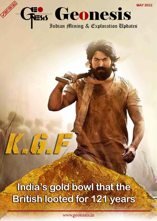India's gold bowl that the **British looted for 121 years** 

www.geonesis.in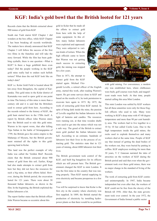# **KGF: India's gold bowl that the British looted for 121 years**

Records claim that the British extracted about 900 tonnes of gold from KGF

South star Yash starrer KGF Chapter 1 did wonders at the box office, while KGF Chapter 2 has been breaking all records worldwide. The makers have already announced that KGF Chapter 3 will follow the success of the first two films in the franchise and will take the story forward. While the film has been grabbing eyeballs, there is one question --What is KGF? Is there a huge goldfield there even today? Did the people working in the KGF gold mine really had to endure such hellish torture? What does the real KGF look like on today's date?

KGF i.e. Kolar Gold Field is located about 90 km away from Bengaluru, the capital of Karnataka. This gold mine in the Kolar district of Karnataka was used to spew gold at one point in time The history of this mine is more than a century old and it is said that the Britishers used to extract gold from here. According to the records related to the history of KGF, the gold hunt started here in the 1700s itself. A report by British officer John Warren states how the British used to rule this gold mine. Warren in his report wrote, that after killing Tipu Sultan in the battle of Srirangapatna of 1799, the British gave the entire empire to the Maharaja of Mysuru, but the British government retained all the rights to this goldspewing land in Kolar.

This land was the perfect example of why India was called the 'Golden Bird'. Records claim that the British extracted about 900 tonnes of gold from this soil. Earlier, Kings had also made attempts to extract gold from here but they did not have the resources for such a big mine, so their efforts failed. However, during the British period, the excavation lasted for 121 years. There were about 30 thousand Indian labourers, as shown in the film. In the beginning, the British exploited the Indian labourers a lot.

The report further states that the British officer John Warren became so eccentric about this

gold in Kolar that he made all the efforts to extract gold from here with the help of some equipment. In this effort, many Indian labourers were exploited and oppressed. They were subjected to various kinds of torture. When the high officials came to know that Warren was not getting much success in extracting gold, the mining was stopped for a few years.

Then in 1871, the attempt to extract gold from the KGF started again. Michael Fitz-



gerald Levelle, a retired officer of the English army, started this work, after reading Warren's report. He got some surveys done in KGF and based on the results of it, he took permission to excavate here again in 1873. By 1875, the work of extracting gold from KGF started. In spite of being dark inside the mine, the passion of Levelle engulfed the Indian labourers in the light of lanterns and candles. The resources were running out, at that time wooden shafts were used to get into the mines which was not a safe way. The greed of the British to extract more gold pushed the Indian labourers into hell. According to an estimate, hundreds of labourers lost their lives in the process of extracting gold. The statistics state that in 121 years of mining, about 6000 labourers lost their lives.

The British government took control of the KGF, and built big bungalows for its officers which are still present here. The British government changed the KGF to mini London. It was the first mine in the country that was running properly. Then KGF started supplying its own electricity and became prosperous in a few years.

You will be surprised to know that Kolar is the first city in the country where electricity was first supplied. In 1889, the British started the production of electricity by installing hydropower plants so that there would be no problem

with gold mining. For convenience, a modern city was established here, where clubhouses were built, golf courses were built, and magnificent roads were built. At that time, people started calling this area Mini London.

This mini London was settled by KGF workers but all these amenities were only for those English officers who used to rule. Many were working in KGF's deep mine with 47-48 degree temperature and more than 90 per cent humidity area. The workers had to live together in a 10 by 10 hut called Coolie Lens. Due to the high temperature inside the gold mines, the rocks used to explode themselves and many workers died at the same time. People of KGF say that instead of getting the dead bodies of the workers out, they were buried by putting in coffins. KGF employees working for more than 30 years, V C Ganesan narrated the tales of atrocities on the workers of KGF during the British period and said that even when the government took over these gold mines, there was no major change in the standard of living of the workers.

The work of extracting gold from KGF continued uninterruptedly. In 1947, India became independent but even after that, the workers of KGF could not be free from the slavery of the British till 1956. After that, the state government took over control. In the year 1972, the Government of India formed a public sector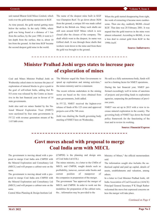unit named Bharat Gold Mines Limited, which took over the gold mining operations in KGF.

As time passed, the gold started getting more below the surface. In the early 1900s, where gold was being found at a distance of 1 km from the surface, by the year 1980, it went to 3 km depth from the surface, that is, about 10 km from the ground. At that time KGF became the second deepest gold mine in the world.

The name of the deepest mine built in KGF was Champion Reef. To go down about 3KM from the ground, a unique lift was made called Shaft in the British era. Many such shafts are still seen around KGF Mines which is now closed after the closure of the company. The shaft which went to the deepest, its name was Gifford shaft. It was through these shafts that workers went down to the mine and from there the gold was brought to the ground.

When the gold started disappearing from sight, the work of extracting it became more cumbersome. Then one day, suddenly BGML closed KGF. That date was 28 February 2001. It was argued that the gold reserves in the mine were almost exhausted. According to BGML, it was a loss deal to extract gold from KGF in the 1990s itself.

**Source: Indiatvnews**

# **Minister Pralhad Joshi urges states to increase pace of exploration of mines**

Coal and Mines Minister Pralhad Joshi on Wednesday asked states to increase the pace of exploration of mineral blocks to give a push to the goal of self-reliant India, adding that Rs 8.8 crore was released by the Centre as incentive in the last financial year in favour of 14 state governments.

Joshi also said six mines funded by the National Mineral Exploration Trust (NMET) were auctioned by four state governments in FY'22 with revenue generation stream of Rs 1.63 lakh crore.

The Minister urged the State Governments to speed up exploration and mining activities," the mines ministry said in a statement.

The recent reforms undertaken in the mining sector are based on the views obtained from state governments, Joshi added.

In FY'22, NMET received the highest-ever release of funds of Rs 125 crore and approved projects cost of Rs 748 crore.

Joshi was chairing the fourth governing body meeting of NMET here on Wednesday.

He said as a fully autonomous body, funds will not be a limiting factor for NMET operations.

During the last financial year, NMET performed exceedingly well in terms of sanctions of projects and providing funds to exploration agencies, surpassing the performance of previous years.

NMET was set up in 2015 with a view to increase mineral exploration in the country. The governing body of NMET lays down the broad policy framework for the functioning of the trust and to review its working.

#### **Source: Financial Express**

# **Govt moves ahead with proposal to merge Coal India arm with MECL**

The government is moving ahead with a proposal to merge Coal India arm CMPDI with the Mineral Exploration and Consultancy Ltd (MECL) and will prepare a cabinet note on the same.

The government is moving ahead with a proposal to merge Coal India arm CMPDI with the Mineral Exploration and Consultancy Ltd (MECL) and will prepare a cabinet note on the same.

Central Mine Planning & Design Institute Ltd

(CMPDI) is the planning and design arm of [Coal India](https://www.business-standard.com/topic/coal-india) Ltd (CIL).

The mines ministry, in a letter to the CMDs of MECL and CMPDI, sought details such as profitability, turnover, current order books and current position of manpower of the [companies](https://www.business-standard.com/topic/companies) in preparation of the merger.

The government "has approved the merger of MECL and CMPDI. In order to work out the modalities for preparation of the cabinet note, the... information may be provided to the

Ministry of Mines," the official memorandum said.

The information sought also includes the authorised capital and paid up capital, details of assets, establishments and valuation, among others.

In a letter to Coal Minister Pralhad Joshi, All India Association of Coal Executives (AIACE) Principal General Secretary P K Singh Rathor welcomed the move but expressed concerns on how the merger will take place.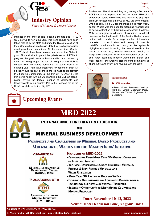# **Industry Opinion**

*Voice of Mineral & Mineral Sector*

Increase in the price of gold began 6 months ago - 1700 USD per Oz to now 2000US\$. This trend should have been taken note of by the MoM and urged the States to Auction all the drilled gold resource blocks (drilled by Govt agencies) for developing them into mines. At the same time, Section 10A2B should have been restored and asked the States to grant PLs and MLs to permit the private sector & PSUs to progress the gold resource blocks (drilled and defined by them) to mining stage. Instead of doing that the MoM is content with the States auctioning G4 stage blocks for granting CLs. There have been very few takers for such G4 blocks. Would you say, all these are too much to expect from IAS heading Bureaucracy at the Ministry ?? After all, the Minister is happy with an IAS managing the GSI, an organization having the largest number of Geologists and Geophysicists in our country. IAS is the Panacea for all the Hills!! Not plate tectonics. Right??



**Upcoming Events**

### Bidders are billionaires and they too, barring a few, want FCFS system to replace the Auction mode. Billionaire companies outbid millionnairs and commit to pay high premium for acquiring either CL or ML. Did any company who has acquired a CL sought financial help from MoM, so far? Where was the need for extending financial help to doing exploration by billionnaire concession holders?. MoM is indulging in all sorts of gimmicks to attract investors without getting rid of the Auction System which is the main hurdle for a large number of investers interested in exploration and mining of non-bulk metalliferous minerals in the country. Auction system is highlyPartisan and is vesting the mineral wealth in the hands of a few very wealthy companies, leading to Inequitable distribution of mineral resources of our nation. Apex court has recently warned the States and MoM against encouraging bidders from committing to share 100% and over 100% revenue with the Govt



### **Suggestion By:**

### **Dr. V N.Vasudev,**

Advisor, Mineral Resources Development and Mineral Exploration Policy Matters. M/s TANKA Engineers Llc., Bengaluru.

# **MBD 2022**



### **INTERNATIONAL CONFERENCE & EXHIBITION**

ON

# **MINERAL BUSINESS DEVELOPMENT**

**PROSPECTS AND CHALLENGES OF MINERAL BASED PRODUCTS AND UTILIZATION OF WASTES FOR THE 'MAKE IN INDIA' INITIATIVE** 



### **IN ASSOCIATION WITH**



### **HIGHLIGHTS OF MBD-2022**

- **CONFIRMATION FROM MORE THAN 30 MINERAL COMPANIES** OF INDIA AND ABROAD
- · TECHNICAL DELIBERATIONS UNDER INDUSTRIAL MINERALS, **FERROUS & NON-FERROUS MINERALS AND WASTE UTILIZATION**
- MORE THAN 30 ABSTRACTS RECEIVED SO FAR
- EXHIBITION OPPORTUNITIES FOR EQUIPMENT MANUFACTURERS. **TECHNOLOGY SUPPLIERS AND MINERAL PRODUCERS**
- · EXCELLENT OPPORTUNITY TO MEET MINING COMPANIES AND **MINERAL PRODUCERS**

### **Date: November 10-12, 2022 Venue: Hotel Radisson Blue, Nagpur, India**

**Contact: +91 9373818839 , +91 9823015772 E-Mail: mbd.info2021@gmail.com , mineralinfoindia@gmail.com www.mineralinfo.net**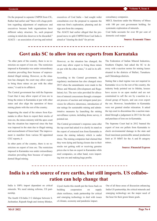On the proposal to separate CMPDI from CIL, Rathor had earlier said "there will a huge problem regarding adjustment of employees and executives because both organisations have different salary structure. So, such proposal coming in mind also deserves to be discarded." AIACE -- an association of serving and retired

executives of [Coal India](https://www.business-standard.com/topic/coal-india) -- had sought wider consultation over the proposal to separate the state-run firm's exploration, planning and design arm from the company.

The AIACE had earlier alleged that the proposed move to split CMPDI from Coal India is aimed at "clearing the deck" for private

consultancy companies.

MECL functions under the Ministry of Mines with 100 per cent government holding, for systematic exploration of minerals.

Coal India accounts for over 80 per cent of domestic coal output

**Source: Economic Times**

# **Govt asks SC to allow iron ore exports from Karnataka**

"In other parts of the country, there is no restriction on export of iron ore. The restriction imposed in Karnataka was under extraordinary situation prevailing then because of unprecedented illegal mining. However, as the situation has changed, the court may allow export to bring these mines on par with the other states," it said in its affidavit.

The Central government has told the Supreme Court that it may allow export of iron ore to bring the mines in Karnataka at par with other states and also align the operation of these mining plants with the rest of the country.

Supporting the stand of the miners from Karnataka to allow them to export their stocks of iron ore, the mines ministry told the apex court that the situation has improved since the ban was imposed in the state due to illegal mining and encroachment of forest land. The improvement is manifest from various SC-appointed CEC reports, it

In other parts of the country, there is no restriction on export of iron ore. The restriction imposed in Karnataka was under extraordinary situation prevailing then because of unprecedented illegal mining.

However, as the situation has changed, the court may allow export to bring these mines on par with the other states," it said in its affidavit.

According to the Central government, the regulatory mechanism has also changed since 2015 when the amendments were made to the Mines and Minerals (Development and Regulation) Act. The new rules provided for allocation of mineral concessions through a transparent process of auction and stringent penal provision for effective deterrence, introduction of star ratings for sustainable mining and administrative measures by launching the mining surveillance system, including drone survey, it pointed out.

The Central government's response came after the top court had asked it to clarify its stand on the export of extracted iron from Karnataka to rescue the mining industry which is under stress. The mining companies had claimed that they were dying and facing closure due to their stocks not getting sold or receiving genuine prices due to ban on export in Karnataka while steel companies, on other hand, were importing iron ore and making huge profits.

The Federation of Indian Mineral Industries, Southern Chapter, had asked the SC to do away with e-auction norms for mining leases situated in the districts of Ballari, Tumakuru and Chitradurga districts.

Stating that a dual regime was not required in Karnataka vis-a-vis the rest of the country, the industry body pointed out in Odisha, lessees have access to an open market and are not constrained to sell the ore by e-auction to a closed group of buyers, and can even export the ore. However, leaseholders in Karnataka were not granted similar relaxation. It asked the top court to discontinue the e-auction mandated through a judgement in 2013 for the sale and purchase of iron ore in Karnataka.

The Supreme Court had in 2012 banned the export of iron ore pellets from Karnataka to check environmental damage in the state and fixed maximum permissible annual production limit at 35 MMT for the A and B category mines.

**Source: Financial Express**

# **India is a rich source of rare earths, but still imports. US collaboration can help change that**

India is 100% import dependent on critical minerals. We need mining reforms, US partnership.

The fourth US-India 2+2 dialogue between S. Jaishankar, Rajnath Singh and Antony Blinker,

Llyod Austin this month put the focus back on building cooperation on supply chain resilience, trade partnership for critical and emerging technology to deal with issues of climate, economy and pandemic impact.

Out of all these areas of discussion enhancing India-US partnership, the critical minerals and emerging technology are the major need of the hour for their green future goals.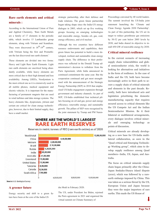### **Rare earth elements and critical minerals :**

According to the International Union of Pure and Applied Chemistry, 'Rare Earth Metals are a family of 17 elements in the periodic table, which involve 15 Lanthanides group elements, along with Yttrium and Scandium. They were discovered in  $18^{th}$ -19<sup>th</sup> century, with Yttrium being the first and Promethium the last discovered rare earth element.'

These elements are divided into two forms: Heavy and Light Rare Earth Elements. Light rare earth elements are uncritical being abundantly available, while heavy elements are more critical due to their high demand and less availability. Among LREEs, Neodymium is the most critical one as it is extensively used in all mobile phones, medical equipment and electric vehicles. It is important for the manufacturing of permanent magnets that are used in wind turbines and data storage systems. The heavy elements like, dysprosium, yttrium and cerium are critical for clean energy technologies, however, due to their limited supply, they have a small market.

strategic partnership, after their defence and trade relations. The green future partnership began taking shape since the India-US energy dialogue in 2005, which set up five working groups focusing on emerging technologies and renewable energy, besides oil, gas, coal, energy efficiency, and civil nuclear.

Although the two countries have different resource endowments and capabilities, their green future has potential to build a more developed, resilient and sustainable clean energy supply chain. The difference in their preferences was reflected in the Donald Trump administration's decision to withdraw from the Paris Agreement, while India announced its continued commitment the same year. But the cooperation continued and got most strengthened with the announcement of the Strategic Energy Partnership (SEP) in 2018 that emphasised US-India engagement expansion through government and industry channels. As part of SEP, US-India established four technical pillars focusing on oil and gas; power and energy efficiency; renewable energy; and sustainable growth. The pillars of SEP were recognised by the joint statement by Trump and PM Naren-

### **WHERE ARE THE WORLD'S LARGEST RARE EARTH RESERVES**

Reserves in metric tonnes of REO (rare earth oxides) as of 2020

| World total          |                            | 12,00,00,000 |
|----------------------|----------------------------|--------------|
| China                | 4,40,00,000                |              |
| Vietnam              | 2,20,00,000                |              |
| Brazil               | 2,10,00,000                |              |
| Russia               | 1,20,00,000                |              |
| India                | 69,00,000                  |              |
| Australia            | 41,00,000                  |              |
| Greenland            | 15,00,000                  |              |
| <b>United States</b> | 15,00,000                  |              |
| Tanzania             | 8,90,000                   |              |
| Canada               | 8,30,000                   |              |
| South Africa         | 7,90,000                   |              |
|                      | 8,00,00,000<br>4,00,00,000 | 12,00,00,000 |

Source: U.S. Geological Survey

### **A greener future**

Energy security and shift to a green future have been at the core of the India-US

dra Modi in February 2020.

The US, under President Joe Biden, rejoined the Paris agreement in 2021 and organised the virtual summit on Climate Summary of

Proceedings convened by 40 world leaders. The summit involved the US-India joint statement launching the 'Climate and Clean Energy Agenda 2030 Partnership'. As part of this partnership, the US set its target to reduce greenhouse gas emissions by 50-52 per cent below 2005 levels by 2030, and India shared its objective to install 450 GW of renewable energy by 2030.

### **Critical mineral resilience**

In the current scenario of increasing supply chain vulnerabilities and global semiconductor crisis, the world is looking for alternatives and initiatives in the form of resilience. In the case of India and the US, both have become increasingly active in their path to secure a supply chain of critical minerals and elements in the past decade. Recently, both have introduced acts and legislation prioritising the domestic manufacturing capacity that requires secured access to critical elements like the US Compete Act and the Indian Semiconductor Mission. Be it their bilateral or multilateral arrangements, every dialogue involves critical minerals and emerging technology as points of discussion.

Critical minerals are already developing as a new base for US-India multilateral collaboration, as seen in the "Quad critical and Emerging Technology Working group", which aims to develop supply resilience among Quad members—India, US, Japan, and Australia.

The focus on critical minerals supply chain began primarily after the China-Japan Senkaku-Diaoyu island dispute (2010), which was followed by a rareearth embargo imposed by China. This was taken as a serious threat by the US, European Union and Japan because they were the major importers of rare earths. This made the US House of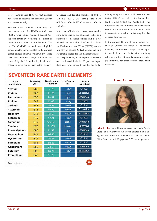Representatives pass H.R. 761 that declared rare earths as essential for economic growth and national security.

The US critical minerals vulnerability got more acute with the US-China trade war (2018), when China retaliated against USimposed tariffs by restricting the export of rare earths and other critical minerals to China. The Covid-19 pandemic caused global semiconductor shortage added to the growing global critical minerals vulnerability. There have been multiple strategic initiatives announced by the US to develop its domestic critical minerals mining, such as the Strategy

to Secure and Reliable Supplies of Critical Minerals (2017), On shoring Rare Earth (ORE) Act (2020), US Compete Act (2022), and others.

In the case of India, the economy continued to slow down due to the pandemic. India, as a reservoir of 49 major critical and non-fuel minerals, as reported by the Council on Energy, Environment, and Water (CEEW) and the Ministry of Science & Technology, can be a sustainable source for the manufacturing sector. Despite having a rich deposit of monazite on beach sand, India is 100 per cent import dependent for its rare earth supplies due to its

Print

mining being restricted to public sector undertakings (PSUs), particularly, the Indian Rare Earth Limited (IREL) and Kerala REL. The reforms in the Indian mining and downstream sector of critical minerals can boost not only its domestic high-tech manufacturing, but also its green future goals.

In the growing US initiatives to reduce reliance on Chinese raw materials and critical minerals, the India-US strategic partnership is the need of the hour. India, with its mining reforms, and the US with its increasing strategic initiatives, can enhance their supply chain resilience.

# **SEVENTEEN RARE EARTH ELEMENTS**

| Rare<br>earth name | <b>Discovery</b><br>year | <b>Atomic name</b><br>& number | Light/heavy<br><b>REE</b> | Critical/<br><b>Uncritical</b> |
|--------------------|--------------------------|--------------------------------|---------------------------|--------------------------------|
| Yttrium            | 1788                     | $Y-39$                         | Heavy                     | Critical                       |
| Cerium             | 1803                     | $Ce-58$                        | Light                     | <b>Excessive</b>               |
| Lanthanum          | 1839                     | $La-57$                        | Light                     | Uncritical                     |
| Erbium             | 1842                     | $Er-68$                        | Heavy                     | Critical                       |
| <b>Terbium</b>     | 1843                     | $Tb-65$                        | Heavy                     | Critical                       |
| Ytterbium          | 1878                     | $Yb-70$                        | Heavy                     | <b>Excessive</b>               |
| Holmium            | 1878                     | Ho-67                          | Heavy                     | <b>Excessive</b>               |
| Scandium           | 1879                     | $Sc-21$                        | Heavy                     | Critical                       |
| Samarium           | 1879                     | $Sm-62$                        | Light                     | Uncritical                     |
| Thulium            | 1879                     | Tm-69                          | Heavy                     | <b>Excessive</b>               |
| Praseodymium       | 1885                     | Pr-59                          | Light                     | Uncritical                     |
| Neodymium          | 1885                     | <b>Nd-60</b>                   | Light                     | Critical                       |
| <b>Dysprosium</b>  | 1886                     | Dy-66                          | Heavy                     | Critical                       |
| Europium           | 1886                     | Eu-63                          | Heavy                     | Critical                       |
| Gadolinium         | 1886                     | $Gd-64$                        | Heavy                     | Uncritical                     |
| Lutetium           | 1907                     | $Lu-71$                        | Heavy                     | <b>Excessive</b>               |
| Promethium         | 1947                     | Pm-61                          |                           |                                |

Source: Author

### **About Author:**



**Neha Mishra** is a Research Associate (Indo-Pacific Group) at the Centre for Air Power Studies. She is doing her PhD from the University of Delhi on 'India-China Geo-economic Engagement'. Views are personal.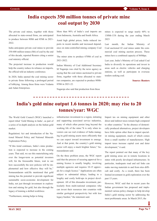# **India expects 350 million tonnes of private mine coal output by 2030**

The private coal mines, together with those allocated to state-owned firms, are anticipated to produce between 80Mt and 85Mt in 2021- 2022.

India anticipates private coal mines to provide 350-400 million tonnes (Mt) of coal by the end of this decade, reported Reuters citing a senior coal ministry official.

The projected increase in production would help the country reduce its reliance on imports, the official told an industry conference.

In 2020, India opened the coal mining sector to private firms following a prolonged period of lobbying. Among these firms were Vedanta and Adani Enterprises.

More than 90% of India's coal imports are from Indonesia, Australia and South Africa.

Amid high global prices, India reduced imports in recent months and increased dependence on state-controlled mining company Coal India.

The miner aims to produce 670Mt of coal in 2021-2022.

Indian Ministry of Coal Additional Secretary M Nagaraju was cited by the news agency as saying that the coal mines auctioned to private firms, together with those allocated to staterun companies, are expected to produce 80Mt-85Mt in 2021-22.

Nagaraju also said that production from these

mines is expected to surge nearly 60% to 130Mt-135t during the year ending March 2023

Last month, the Indian Ministry of Coal [auctioned](https://pib.gov.in/PressReleaseIframePage.aspx?PRID=1797860) 42 coal mines under the commercial coal mining auction process. These mines have a combined capacity of 86Mtpa.

Last year, [India's Ministry of Coal asked Coal](https://www.mining-technology.com/news/coal-india-electric-vehicles-pods/)  [India](https://www.mining-technology.com/news/coal-india-electric-vehicles-pods/) to diversify its operations and invest in areas such as electric vehicles and charging stations, as well as participate in overseas tenders seeking coal.

**Source: Reuters**

# **India's gold mine output 1.6 tonnes in 2020; may rise to 20 tonnes/year: WGC**

The World Gold Council (WGC) launched a report titled 'Gold Mining in India', as part of a series of in-depth analysis on the Indian gold market.

Regulation) Act and introduction of the National Mineral Policy and National Minerals Exploration Policy.

"If this trend continues, India's mine production is expected to increase in the coming years. That said, we see this materialising only over the longer-term as potential investors will, for the foreseeable future, wait to see how successfully the new policies will be implemented and how effective they will be," Somasundaram said.He mentioned that gold mining has the potential to provide significant sustainable socio-economic development for India, not just through investment in exploration and mining for gold, but also through the legacy of training a skilled workforce.

"Furthermore, mining helps to bring

infrastructure investment to a region, initiating and supporting associated service industries, many of which often persist long beyond the working life of the mine."It is only when investors can see real evidence of India managing its gold mining assets more efficiently that we can expect inward investment to emerge. And at that point, the country's gold mining sector will enjoy a much brighter future," Somasundaram said.

On the three problem areas, the WGC report said that the process of securing approval for a mining licence is usually lengthy, involving multiple agencies and requires 10-15 approvals for a single licence." Applications are often subject to substantial delays, leading to a lengthy and costly hold-ups in project development. All of this dissuades investment, particularly from multi-national companies who can invest their resources into countries with similar geological perspectivity but with less legacy burden," the statement said.

Import tax on mining equipment and other direct and indirect taxes remain high compared to other countries." In the absence of domestically produced alternatives, project developers have little option other than to import specialist mining equipment, much of which comes from a small number of manufacturers. High import taxes increase capital cost and deter development," it said.

The report pointed out that many of the key gold mining areas are in remote locations in states with poorly developed infrastructure. In particular, inadequate road and rail links can make moving materials to and from sites difficult and costly. As a result, there has been limited investment in gold exploration over the past 15 years.

However, WGC said that in recent years the Indian government has proposed and implemented various policy changes to help develop India's gold mining sector by addressing the most problematic areas. In March 2015, the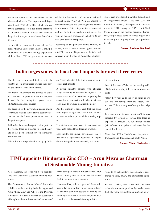Parliament approved an amendment to the Mines and Minerals (Development and Regulation) Act 1957 (MMDR), which allowed private companies to bid for mining leases via a competitive auction process and extended the period for major mining leases from 30 to 50 years.

In June 2016, government approved the National Minerals Exploration Policy (NMEP) in an attempt to stimulate mining exploration, while in March 2019 the government announced the implementation of the new National Mineral Policy (NMP 2019) in an attempt to reduce bottlenecks and encourage development in the sector. This policy applies to non-coal and non-fuel minerals and aims to increase the value of minerals produced in India by 200 per cent over a seven-year period.

According to data published by the Ministry of Mines, India's current defined gold reserves total 70.1 tonnes. "88 per cent of India's gold reserves are in the state of Karnataka; a further

12 per cent are situated in Andhra Pradesh and an insignificant amount (less than 0.1t) are found in Jharkhand," the report said. Since its restart in 1947, through to 2020, Hutti Gold Mine, located in the Raichur district of Karnataka, has produced some 84 tonnes of gold and is currently the only significant gold producer in India.

**Source: Business Standard**

## **India urges states to boost coal imports for next three years**

The decision comes amid fuel crisis in the country as coal inventories touched their lowest pre-summer levels in nine years.

The Indian Government has directed its states to boost coal imports to meet the required demand, for the coming three years, reported [Reuters](https://www.reuters.com/world/india/exclusive-india-power-minister-tells-states-step-up-coal-imports-3-years-sources-2022-04-27/) citing four sources.

The decision by the government comes amid a severe fuel crisis as the country's coal inventories reached the lowest pre-summer levels in the past nine years.

Said to be the second-largest coal importer in the world, India is expected to significantly add to the global demand for coal during the next three years.

This is due to a longer timeline set up by Indi-

an Power Minister R K Singh, seeking to increase coal imports.

A power ministry official, who attended Singh's meeting with state officials, said: "The states were asked to continue importing because the private sector will take till at least early 2025 to produce significant output."

Another ministry official said that the states were urged to sign long-term deals for coal imports to reduce prices while ensuring supply.

The states were also asked to purchase rail wagons to help address logistics problems.

Last month, the Indian government said it 'achieved a significant reduction in import despite a surge in power demand', as a result

of key reforms.

One of the state officials at the meeting said: "Only last year, they told us to cut down imports.

"Now they want us to import as much as we can and are saying there are supply constraints. This is a very confusing, mixed signal."

Last month, a senior coal ministry official was reported by Reuters as saying that India is [expected](https://www.mining-technology.com/news/india-mine-coal-2030/) to produce 350-400 million tonnes (Mt) of coal from private coal mines by the end of this decade.

More than 90% of India's coal imports are from Australia, Indonesia, and South Africa.

#### **Source: Mining Technology**

# **FIMI appoints Hindustan Zinc CEO – Arun Misra as Chairman of Sustainable Mining Initiative**

As a chairman, the focus will be to facilitate long-term viability of sustainable mining operations

The Federation of Indian Mineral Industries (FIMI), a leading mining body, has appointed Arun Misra, CEO and Whole-Time Director, Hindustan Zinc, as its Chairman of Sustainable Mining Initiative- A Sustainable Committee of FIMI during an event in Bhubaneshwar. Arun Misra currently also serves as the Chairman of the International Zinc Association.

Hindustan Zinc, India's largest and the world's second-largest zinc-lead miner, is an industry leader with over five decades of mining and smelting experience. As afully integrated player with a keen focus on delivering holistic

value to its stakeholders, the company is committed to safe, smart, and sustainable operations.

On the occasion, Arun Misra said, "We must value the resources provided by mother earth both above the ground (agriculture) and below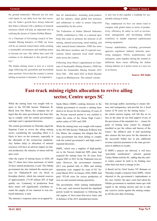#### **Geonesis**

the ground (minerals). Minerals are not only vital inputs in our daily lives but also necessary for India's growth have always believed that India is blessed with a plethora of mineral resources which will play an important role in realizing the dream of Aatma Nirbhar Bharat.

As a Chairman of Governing council of Sustainable Mining Initiative of FIMI, my focus will be on mineral conservation while creating a sustainable environment and enabling mines to become net zero. My efforts have and will continue to be dedicated to this growth journey."

The Indian mining sector is now at a crucial stage following the greenfield and brownfield mine auctions. Given that the country's current mining ecosystem is dynamic, it is imperative

that all stakeholders, including policymakers and the industry, adopt global best practices and collaborate in order to ensure long-term sustainability for the sector.

The Federation of Indian Mineral Industries (FIMI), established in 1966, is a national apex body that seeks to promote the interests of all mining, mineral processing, metal making, and other mineral-based industries. FIMI has more than 400 direct members and 25 regional associations which represent local small mining units across the country.

Following Arun Misra's appointment as Chairman of Sustainable Mining Initiative, FIMI has hosted the Sustainable Mining Summit 2022 from 28th – 29th April 2022 at Hotel Mayfair Lagoon in Bhubaneswar. The summit's primary aim was to put together a roadmap for sustainable mining in India.

They emphasised on how our mines need to compete with global mines in terms of productivity, efficiency & safety as well as environment management and developing skilled workforce to handle imported sophisticated mining equipment.

Various stakeholders, including government agencies, regulators, industry stalwarts, practising managers, NGOs, academicians, and strategists, came together during the summit to deliberate these issues afflicting the Indian mining industry as it inches closer to a new era in its history.

**Source: HZ India**

# **Fast-track mining rights allocation to revive ailing sector, Centre urges SC**

While the mining lease was sought with respect to the 947.046 hectare Thakurani B-Block Iron Ore Mines, the company has alleged that the state government has been failing to comply with the central government's and high court's repeated directions.

The central government on Thursday urged the Supreme Court to revive the ailing mining sector, considering the cascading effect it is likely to have on the economy, especially in the aftermath of the coronavirus pandemic. Any further delay in allocation of mineral resources will have an adverse impact on mineral production, the ministry of mines told the apex court.

After the expiry of mining leases in 2020, till date 27 mines have been auctioned, of which 26 have started production, it said. The Odisha government has also initiated the auction process for Thakurani-B iron ore block in Keonjhar district, which has mineral reserves of approximately 275.49 million MT of high quality ore. Continuity of production from these mines will significantly contribute towards the supply of raw material to iron orebased industries, it said.

The ministry's response came on an appeal by

Sarda Mines (SMPL) seeking direction to the Odisha government to execute a mining lease deed in its favour for the remaining 10 years of the 30-year renewal period it was entitled to under the terms of the Orissa High Court's earlier orders of 1991 and 1998.

While the mining lease was sought with respect to the 947.046 hectare Thakurani B-Block Iron Ore Mines, the company has alleged that the state government has been failing to comply with the central government's and high court's repeated directions.

SMPL, which was a supplier of high-quality ore to the Naveen Jindal-led JSPL plant, had acquired the mining lease for 20 years from August 2001 to 2021 for the Thakurani iron ore mine. However, the environment clearance (EC) was granted only in 2004, and mining operations were stopped for want of EC beyond March 2014. In January 2020, SMPL had paid `933.60 crore for excess production of iron ore and resumed mining operations.

The government, while seeking impleadment in the case, said renewal beyond the stipulated period would be tantamount to following the old regime of first-come-first-serve basis and in defiance of the 2015 amended provisions

that envisage public auctioning to ensure fairness and transparency and provide for a fixed tenure of 50 years for the mining leases. " … the whole auction regime will fall flat on its face as the same do not find support of any of the provisions of the amended Act … tenure for grant of mining lease cannot be changed/ moulded as per the whims and fancies of the lessee," the affidavit said. It said auctioning also ensures the best price for the minerals as the successful bidder has to pay additional revenue (auction premium) to the state government in addition to royalty.

If SMPL's prayers are allowed, it will have "pan-India ramification", solicitor general Tushar Mehta told the SC, adding that the earlier orders cannot be held to be binding now when there has been a change in law.

A Bench led by Chief Justice NV Ramana on Thursday sought a response from SMPL, which objected to the government's impleadment in the case. Earlier, the apex court had asked the Odisha government to maintain status quo with regard to the mining auction and not to take any coercive action against the mining company till the next date of hearing.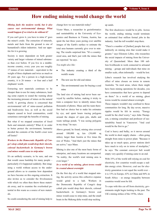# **How ending mining would change the world**

### *Mining fuels the modern world, but it also causes vast environmental damage. What would happen if we tried to do without it?*

If you can't grow it, you have to mine it" goes the miner's credo. The extraction of minerals, metals and fuels from the ground is one of humankind's oldest industries. And our appetite for it is growing.

Society is more dependent on both greater variety and larger volumes of mined substances than ever before. If you live in a middleincome country[, every year you use roughly](https://unstats.un.org/sdgs/report/2019/goal-12/)  [17 tonnes](https://unstats.un.org/sdgs/report/2019/goal-12/) of raw materials – equivalent to the weight of three elephants and twice as much as 20 years ago. For a person in a high-income country, it is 26 tonnes – or four and a half elephants' worth.

Extracting new materials continues to be cheaper than re-use for many substances, leading some experts to sound the warning about the increasing pressure of mines on the natural world. A growing chorus is concerned that environmental toll of mine-caused pollution and biodiversity loss, as well as the social impacts caused to local communities, could sometimes outweigh the benefits of mining.

But what if we stopped extraction of fossil fuels and minerals entirely? What if, in order to better protect the environment, humanity decided the contents of the Earth's crust were off limits?

### *Workers in the Democratic Republic of Congo's deep cobalt pits would drop their shovels, colossal bucketwheels in Germany's brown coal mines would cease to strip mine*

It's an unlikely scenario, to be sure, and one that would cause hardship for many people – particularly if it happened suddenly. But imagining a world without access to the underground allows us to examine how dependent we have become on this ongoing extraction. It also invites us to consider the frivolousness with which we often then throw these materials away, and to examine the overlooked potential in this waste as a source of new materials.

So could considering the end of mining help to

change how we use materials today?

Victor Maus, a researcher in geoinformatics and sustainability at the University of Economics and Business in Vienna, Austria, has spent the last three years poring over satellite images of the Earth's surface to estimate the total area humans currently give over to mining. [The results surprised him.](https://www.nature.com/articles/s41597-020-00624-w) "It's a countrysized area, and that's just with the mines that are reported," he says.

#### *You might also like:*

- [The industry creating a third of the](https://www.bbc.com/future/article/20211215-the-buildings-made-from-rubbish)  [world's waste](https://www.bbc.com/future/article/20211215-the-buildings-made-from-rubbish)
- [The new use for old coal mines](https://www.bbc.com/future/article/20210706-how-flooded-coal-mines-could-heat-homes)
- [The environmental case for buying a coal](https://www.bbc.com/future/article/20220118-the-environmental-case-for-buying-a-coal-mine)  [mine](https://www.bbc.com/future/article/20220118-the-environmental-case-for-buying-a-coal-mine)

The land size of mining had never been surveyed by satellite before, making it tricky to train a computer how to identify mines from thousands of photos. Maus and his team therefore had no choice but to make his estimates by eye, and spent hours tracing polygons around the shapes of open pits, shafts and waste tailings ponds. "I was seeing polygons in my sleep," he says.

Above ground, he found, mining sites covered around [100,000 sq km \(38,600 sq](https://www.wu.ac.at/en/research/research-portal/news/details-news/detail/mining-poses-danger-to-the-climate-and-biodiversity)  [miles\),](https://www.wu.ac.at/en/research/research-portal/news/details-news/detail/mining-poses-danger-to-the-climate-and-biodiversity) larger than Austria or five times the size of Wales. "And that's just the mines that are active," says Maus.

Mining is also one of the most basic forms of enterprise, and many locations are unreported. "In reality, the world's total mining area is even larger."

### *In a world of no mining, ghost towns would be created almost overnight*

On the first day of a world that stopped mining, the activity across this collective expanse would grind to a halt. Workers in the [Democratic Republic of Congo's deep](https://theconversation.com/as-cobalt-demand-booms-companies-must-do-more-to-protect-congolese-miners-149486)  [cobalt pits](https://theconversation.com/as-cobalt-demand-booms-companies-must-do-more-to-protect-congolese-miners-149486) would drop their shovels, colossal bucketwheels in [Germany's brown coal](https://www.bbc.com/future/article/20210419-the-end-of-the-worlds-capital-of-brown-coal)  [mines](https://www.bbc.com/future/article/20210419-the-end-of-the-worlds-capital-of-brown-coal) would cease to strip mine, and the small boats in the [Mekong delta would stop sucking](https://pulitzercenter.org/stories/dramatic-photos-show-how-sand-mining-threatens-way-life-southeast-asia) 

up sands.

The first shockwave would be to jobs. Across the world, ending mining would terminate an [estimated four million formal jobs in the](https://www.unep.org/explore-topics/extractives/why-does-extractives-matter)  [industry.](https://www.unep.org/explore-topics/extractives/why-does-extractives-matter) And the toll wouldn't stop there.

"There's a number of [further] people that rely indirectly on mining sites that would make it greater," says Eléonore Lèbre, who researches the social impacts of mining from the University of Queensland. More than 100 mil[lion](https://www.worldbank.org/en/news/press-release/2021/05/03/better-working-conditions-can-improve-safety-and-productivity-of-artisanal-and-small-scale-miners-around-the-world) livelihoods in work connected to artisanal mining – groups and individuals that mine on smaller scale, often informally – would be lost.

[Lèbre's research has involved](https://smi.uq.edu.au/profile/2537/eleonore-lebre) studying the effect of mine closure on towns in remote Australia. "In rural areas, where there might have been mining operations for decades, you have communities that have grown to depend on them." In a world of no mining, ghost towns would be created almost overnight.

These impacts wouldn't stay confined to those communities for long. By day seven, massive ripples would be felt in society. "Energy would be the chief worry," says John Thompson, a mining consultant and professor of sustainability based in Vancouver. "And coal would be the first to go."

Coal is heavy and bulky, so it moves around the world in short supply chains – often going straight from mine to power plant. "Because it takes up so much space, power stations don't have much to rely on in terms of stockpiles," he says. The constant conveyor belt would empty very quickly if mining came to an end.

With [35% of the world still relying on coal for](https://www.bp.com/en/global/corporate/energy-economics/statistical-review-of-world-energy.html)  [electricity,](https://www.bp.com/en/global/corporate/energy-economics/statistical-review-of-world-energy.html) few countries would escape a sudden energy crisis. However, coal use for electricity generation is not equal the world over – it is [15% in Europe, 63% in China and 84% in](https://www.bp.com/en/global/corporate/energy-economics/statistical-review-of-world-energy.html)  [South Africa](https://www.bp.com/en/global/corporate/energy-economics/statistical-review-of-world-energy.html) – so energy inequality between countries would soon be felt.

To cope with this cut off from electricity, governments might begin looking to the past. The UK's mining strikes of the 1970s, where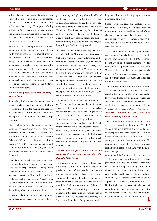rolling blackouts and electricity rations were enforced, could be used as a form of damage control. "The three-day-week policy could make a comeback," says Thompson, referring to how the UK government reduced working and manufacturing to three days instead of five to handle the electricity shortage from the strikes and the oil crisis of 1973.

An indirect, but crippling effect of such electricity drops in the modern day would be the cut to communications. The internet, many of whose servers still rely on coal-powered electricity, would be slashed or reduced. Mobile phone networks might hang on for longer, but with less electricity in the grid, charging devices could become a luxury. Corded land lines, which are connected to centralised telephone exchanges, would last longest – at least as long as back-up generators and batteries could keep them going.

### *We mine vastly more sand than anything – Aurora Torres*

Soon after, bulky materials would become scarce. Stocks of sand and gravel, which are essential ingredients for making concrete, are relatively shallow. Reserves of the two would be depleted within two to three weeks, says Thompson.

"Sand and gravel are the most mined solid materials by mass," says Aurora Torres, who researches the environmental pressures of sand use at the Catholic University of Louvain, Belgium. "We mine vastly more sand than anything." The [UN estimates we get through](https://unepgrid.ch/en/activity/sand)  40-[50 billion tonnes](https://unepgrid.ch/en/activity/sand) of sand per year. *([Read](https://www.bbc.com/future/article/20191108-why-the-world-is-running-out-of-sand)  [more about the world's extraordinary demand](https://www.bbc.com/future/article/20191108-why-the-world-is-running-out-of-sand)  [for sand.\)](https://www.bbc.com/future/article/20191108-why-the-world-is-running-out-of-sand)*

There is some capacity to recycle used con[crete,](https://www.bbc.com/future/article/20211215-the-buildings-made-from-rubbish) but the rate at which we use fresh concrete far outstrips current recycling rates. There would also be quality concerns. "Most recycled concrete is 'downcycled' to lowergrade uses such as road building," says Torres. So while there would be a rush to implement better recycling processes, in the short-term, the building of new homes would plummet.

Meanwhile, the temperature in existing homes would become increasingly uncomfortable as

gas stores began depleting after a handful of weeks, reducing power for heating and cooling. In economies that rely on gas-fired power stations for electricity [such as the United Arab](https://www.bp.com/en/global/corporate/energy-economics/statistical-review-of-world-energy.html)  [Emirates \(95%\), Russia \(45%\), the US \(41%\)](https://www.bp.com/en/global/corporate/energy-economics/statistical-review-of-world-energy.html)  [and the UK \(36%\),](https://www.bp.com/en/global/corporate/energy-economics/statistical-review-of-world-energy.html) blackouts would become more frequent. Any plastics production able to remain working would be restricted to recyclables as its gas feedstock disappeared.

But there is more to modern society than energy and buildings. "It's after about two months that things would get really interesting, as the mining halt would hit metals," says Thompson. Many mined metals are traded through exchanges in London and New York, where numbers and figures swapped over the trading floor denote the real-life movement of physical stockpiles between warehouses all over the world. For copper, an excellent conductor which is essential for almost all electronics, stockpiles would dwindle to nothing in around six to 10 weeks, Thompson estimates.

This would lead the price of metals to skyrocket. "It's not hard to imagine that theft would increase at this point," says Thompson. When the copper price rose to all-time highs in the 2010s, [crime rose with it.](https://journals.sagepub.com/doi/10.1177/0022427810393021) Buildings, streetlamps, train lines – anything with copper in – were stripped of their cables for resale. Theft might increase for all the industrial metals – copper, iron, aluminium, zinc, lead and nickel – which [by mass account for 98%](https://www.sciencedirect.com/science/article/pii/S0921344920304249?via%3Dihub) of all mined metals. The shortage would reveal how much this handful of metals have become the lifeblood of society.

### *The production of petrol, diesel, plastics and road asphalt would come to end. And with them, the fossil fuel age*

Most countries mine something. China, Australia and the US are the global leaders for [production value of raw materials,](https://www.icmm.com/website/publications/pdfs/social-performance/2020/research_mci-5.pdf) but extraction makes up a far larger share of the economy for some other nations. In at least 18 countries, metallic minerals and coal account for more than half of all exports; for some of these, it's more than 80%. In a no-mining-of-metals scenario, the entire economies of countries such as Suriname with its industrial gold mining, the Democratic Republic of Congo, where cobalt is

king, and Mongolia, a leading exporter of copper, would be at risk.

Simon Jowitt, an economic geologist at the University of Nevada, Las Vegas, does not mince words on what he thinks the end of metals mining would look like. "It would be the end of society as we recognise it today," he says, noting that we mine more now than we ever have before.

A good example of our increasing reliance on a wide array of metals is the average mobile phone, says Jowitt. In the 1980s, a mobile needed 20 or so different elements. A new smartphone today needs more than twice that. "Modern life is simply minerals- and metalsintensive. We wouldn't be having this conversation without them," he quips via video call from his home in Nevada.

Around three months after the end of mining, stockpiles of rare earth metals and other metals [useful to technology](https://www.techmetalsresearch.com/guide/what-are-technology-metals/) would be finished, leading to worrying trends for the pharmaceutical, car, electronics and construction industries. This would lead to massive unemployment that on "a never-before-seen scale", says Thompson.

### *Pressure would soon increase to redirect all metals recycling into renewables*

Just in time for the collapse of supply chains, oil reserves would finally run out. The US's strategic petroleum reserve, the largest fallback [oil stockpile in the world,](https://www.petro-online.com/news/analytical-instrumentation/11/breaking-news/where-are-the-worlds-biggest-strategic-petroleum-reserves/42339) contains 730 million barrels of oil stored in salt caverns across the country – [enough for three months at most.](https://www.iea.org/areas-of-work/ensuring-energy-security/oil-security) The production of petrol, diesel, plastics and road asphalt would come to end. And with them, the fossil fuel age.

After a handful of months, global food supplies would be in crisis. An estimated 50% of food [production](https://ourworldindata.org/how-many-people-does-synthetic-fertilizer-feed) depends on [synthetic fertilisers,](https://data.worldbank.org/indicator/AG.CON.FERT.ZS) which are made up of varying formulas of phosphorus, potassium and natural gas. Lower crop yields could lead to food shortages. "Particularly in countries where climate doesn't support food production," says Thompson.

Nuclear fuel is stocked months in advance, so it could be up to a year before society ran out of nuclear power. Renewables, however, would be the ultimate kingmakers. Nations with the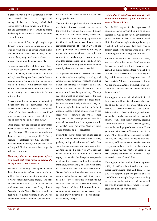highest renewable power generation per person would be at a huge advantage. [Iceland](https://www.government.is/topics/business-and-industry/energy/) and Norway, which both source nearly all their power from hydroelectric and geothermal sources, would be among the best equipped nations to ride out the socioeconomic storm.

In a cruel twist of fate, though, despite huge demand for new renewable power, deployment rates of wind and solar power would slump. The paradox of renewables is that, in their current form, they need unprecedented volumes of non-renewable mined materials.

"Increasing renewables, while it means fewer fossil fuels out of the ground, means large upticks in battery metals such as cobalt and nickel," says Thompson. Solar panels demand large amounts of silicon for the semiconductors in their cells. Wind turbines need rare earth metals such as neodymium for powerful magnets that generate electricity with the turn of the blades.

Pressure would soon increase to redirect all metals recycling into renewables. "We do recycle a fair amount already," says Jowitt. "Most of the base metals and a handful of other elements are [already recycled at their](https://www.researchgate.net/figure/Estimated-end-of-life-EoL-recycling-rates-for-sixty-metals-Graphic-taken-from-UNEP_fig2_301388900)  end-of-[life by a rate of more than 50%."](https://www.researchgate.net/figure/Estimated-end-of-life-EoL-recycling-rates-for-sixty-metals-Graphic-taken-from-UNEP_fig2_301388900)

Other metals that are critical to renewables, however, such as rare earths, are "lost by design", he says. "The way we currently use them is inherently non-recyclable." This is because technologies use tiny amounts of more and more elements, all in different ways, making it difficult to separate them to get the individual metals out.

### *There may also be the development of new biomaterial that could mimic or replace the role of metals – John Thompson*

But even if technology developed to extract these tiny quantities of rare earth metals, it's unlikely that it would meet the amount needed to vastly expand renewable energy. "The metals demand is already set to exceed current production many times over," says Jowitt. According to the World Bank, in a world on track to keep global warming below 2C, the annual production of graphite, cobalt and lithi-

um will be [five times higher by 2050](https://www.worldbank.org/en/news/press-release/2020/05/11/mineral-production-to-soar-as-demand-for-clean-energy-increases) than today's production.

There is also a huge inequality in the current distribution of already-extracted metals across the world. Most mined and processed metals are in use in the Global North, where they have been imported, meaning populations in the Global South would have less access to recyclable material. [The richest 20% of the](https://www.sciencedirect.com/science/article/pii/S030142072030996X?via%3Dihub)  [global population have access to 60](https://www.sciencedirect.com/science/article/pii/S030142072030996X?via%3Dihub)-75% of the world's in-[use metal stock](https://www.sciencedirect.com/science/article/pii/S030142072030996X?via%3Dihub) per capita, according to one study, a spread even more unequal than [carbon emissions inequality.](https://www.bbc.com/future/article/20211025-climate-how-to-make-the-rich-pay-for-their-carbon-emissions) A new world with no mining would have to think carefully about equal access to materials.

An unprecedented rush for research could lead to breakthroughs in recycling technology and circular design, however. "Products would be designed so that they last longer or so that they can be taken apart more easily, and the components returned into the system," says Thompson. This would be an about-face for the tech industry, which today creates produces batteries that are [notoriously difficult to recycle.](https://www.bbc.com/future/article/20220105-lithium-batteries-big-unanswered-question)  Research might be funnelled into methods of gleaning metals without mining, such as the electrolysis [of seawater and brines.](https://pubs.rsc.org/en/content/articlehtml/2017/ew/c6ew00268d) "There may also be the development of new biomaterial that could mimic or replace the role of metals," says Thompson. "Luckily these would probably be more recyclable.

Meanwhile, energy production might need to adapt to smaller, more decentralised systems, probably using already-invented tech. Last year, the environmental campaign group Seas At Risk i[magined](https://seas-at-risk.org/wp-content/uploads/2021/06/Breaking-Free-From-Mining.pdf) a society in 2050 that had banned mining in 2020. Bereft of a constant supply of metals, the blueprint completely overhauls the electricity grid, with a transition from large, metals-heavy solar and wind farms to decentralised and low-tech distribution. "Direct hydro- and wind-power were other age-old technologies that made their comeback, not only for industrial applications but even for water-powered household devices," it says. Instead of large lithium-ion batteries, compressed-air systems, thermal energy storage and gravity batteries become the champions of energy storage.

### *A mine that is abandoned can have chronic pollution for hundreds if not thousands of years – Eléonore Lèbre*

Seas At Risk argues for the importance of rethinking energy consumption in a no-mining scenario, as well as for careful environmental policy. Without a clear vision, controversial biofuel production might make up the energy shortfall, with vast areas of land given over to forestry practices to provide wood as a source of building materials, energy and biofuels.

But the work wouldn't stop there. For Lèbre, who researches mine closure, the closed mines themselves would be a huge source of concern. If all mining stopped there would still be an area at least the size of Austria with degrading and in some cases dangerous levels of heavy metals. "Mining is a process of entropy. We are bringing material from locked-up concentrations underground and letting them out into the world."

Ensuring the clean-up and and rehabilitation of these areas would be vital. Mines usually operate at depths below the water table, which need to be constantly dewatered using pumps. When a mine is abandoned, the ground water gradually refloods underground passages and mineral seams over many months, creating acidic reservoirs of water. Above ground, meanwhile, tailings ponds and piles of lowgrade ore with traces of heavy metals lie in wait. "All of this material is exposed to water and oxygen," says Lèbre. Exposing such elements to, well, the elements, wreaks havoc on ecosystems, soils and water supplies through acid leaching. "A mine that is abandoned can have chronic pollution for hundreds if not thousands of years," says Lèbre.

Cleaning up a mine consists of reducing water acidity, detoxifying the soil and treating waste before reintroducing flora and fauna to the site. It's a lengthy, expensive process and can cost billions for a [single, large mine.](https://www.abc.net.au/news/rural/2022-02-02/ranger-uranium-mine-cleanup-cost-blowout-to-2-2-billion/100798666) Avoiding an environmental catastrophe, and cleaning all the world's mines at once, would cost hun[dreds of billions](https://carbontracker.org/taxpayers-may-have-to-pay-280-billion-in-onshore-plugging-costs-for-oil-and-gas-wells/) or even trillions.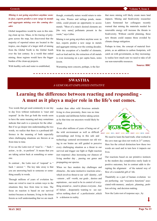#### **Geonesis**

*Mining is not going anywhere anytime soon: in fact, experts predict a new surge in metals and aggregate mining over the coming decades*

Global inequalities would be seen in this mining clean up too. Maus, in his tracing of polygons across the map, has discovered that the majority of reported mines are located in the tropics, one chapter of a larger shift of mining from the Global North to the Global South over the last century. In a world that ended mining, these regions would have the bigger burden of the clean-up projects.

With healthy soils and water re-established,

though, eventually nature would return to mining sites. Wastes and tailings ponds, meanwhile, could present an opportunity to access metals. "Most of a mine's desired elements are [the very same] pollutants present in the waste," says Lèbre.

Mining is not going anywhere anytime soon: in fact, [experts](https://www.sciencedirect.com/science/article/pii/S0959378021000820) [predict](https://pubs.acs.org/doi/10.1021/acs.est.7b05154) a new surge in metals and [aggregate mining](https://www.nature.com/articles/s41893-022-00857-0) over the coming decades. With the exception of a handful of elements, such as lead and tin, [the extraction of all metals](https://pubs.geoscienceworld.org/segweb/segdiscovery/article-abstract/doi/10.5382/2021-127.fea-01/608409/Battery-and-Energy-Metals-Future-Drivers-of-the)  [is even increasing](https://pubs.geoscienceworld.org/segweb/segdiscovery/article-abstract/doi/10.5382/2021-127.fea-01/608409/Battery-and-Energy-Metals-Future-Drivers-of-the) on a per capita basis, notes Jowitt.

Warranting more concern, perhaps, is the fact

that more mining will likely create more land impacts. Mining and biodiversity researcher Laura Sonterand her colleagues recently warned that [mining the materials needed for](https://www.nature.com/articles/s41467-020-17928-5)  [renewable energy](https://www.nature.com/articles/s41467-020-17928-5) will increase the threats to biodiversity. Without careful planning, these new threats could surpass those avoided by climate change mitigation.

Perhaps in time, the concept of material footprints, as an addition to carbon footprints, will catch on with governments, as they increasingly realise how much care we need to take of all our non-renewable resources.

**Source: BBC**

### **SWASTHA** *A GEMCOKATI EMPLOYEES INITIATIVE*

# **Learning the difference between reacting and responding - A must as it plays a major role in the life's out comes.**

Two words that get used commonly in our day to day lives without realization is 'react and respond' .In the first go both the words seem to have the same meaning and may sometimes indicate that each is a synonym for the other . But if we go deeper into understanding the two words, we realize that there is a profound difference in the meaning of both especially when challenging situations are thrown at us from time to time.

If we see the Latin root of 'react'is  $-$  " back  $+$ action , to do , to perform". It means that you are taking action back at something or someone.

In contrast , the Latin root of 'respond' is "  $back + answer$  ". The key take away is that you are answering back to someone or something usually in words.

Through millions of years of evolution humans are wired to react in certain ways to the situations they face from time to time. The focus on reaction is based on our survival instinct because as humans, living in the dense forests as well understanding that we are much

weaker than other wild ferocious animals living in close proximity, there was no time to ponder and deliberate before taking action as by that time our ancestors would likely be killed.

 Even after millions of years of being out of surroundings and living in this safe and technology centered environment our old wiring in our brains are still guided to perceive every challenging situation as a threat to our survival and trigger our fight or flight reaction (not response) ,thus increasing our chances of living another day , passing our genes and propagating our species.

When we face modern day challenges and obstacles , the same instinctive reactions arise , which involves threat to our self- identity , self –esteem , self –worth, our goals , desires and aspirations , our need to be in control of everything around us , need to please everyone , fear of failure , desperately wanting to see ourselves nothing short of a perfectionist ,which is a delusion in reality.



We need to learn the hard truth, what worked in the cave man age does not work in  $21<sup>st</sup>$  century. Here lies the critical distinction how these two words are used and in turn how it impacts our lives.

Our reactions based on our primitive instincts to the modern day complexities rarely leads to positive outcomes, but in contrast adds to disrupting the alignment of the natural way of flow of a wonderful gift of life.

Thankfully as a part of human evolution we are perfecting our "executive functions" associated with memory , analysis , planning , problem solving and decision making.

Now the Latin root of response says , by